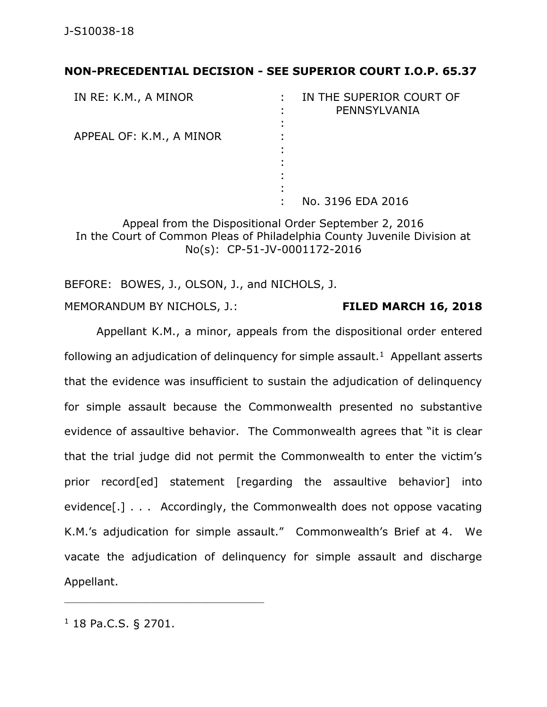## **NON-PRECEDENTIAL DECISION - SEE SUPERIOR COURT I.O.P. 65.37**

| IN RE: K.M., A MINOR     | IN THE SUPERIOR COURT OF<br>PENNSYLVANIA |
|--------------------------|------------------------------------------|
|                          |                                          |
| APPEAL OF: K.M., A MINOR |                                          |
|                          |                                          |
|                          |                                          |
|                          |                                          |
|                          |                                          |
|                          | No. 3196 EDA 2016                        |

Appeal from the Dispositional Order September 2, 2016 In the Court of Common Pleas of Philadelphia County Juvenile Division at No(s): CP-51-JV-0001172-2016

BEFORE: BOWES, J., OLSON, J., and NICHOLS, J.

MEMORANDUM BY NICHOLS, J.: **FILED MARCH 16, 2018**

Appellant K.M., a minor, appeals from the dispositional order entered following an adjudication of delinquency for simple assault.<sup>1</sup> Appellant asserts that the evidence was insufficient to sustain the adjudication of delinquency for simple assault because the Commonwealth presented no substantive evidence of assaultive behavior. The Commonwealth agrees that "it is clear that the trial judge did not permit the Commonwealth to enter the victim's prior record[ed] statement [regarding the assaultive behavior] into evidence[.] . . . Accordingly, the Commonwealth does not oppose vacating K.M.'s adjudication for simple assault." Commonwealth's Brief at 4. We vacate the adjudication of delinquency for simple assault and discharge Appellant.

<sup>1</sup> 18 Pa.C.S. § 2701.

\_\_\_\_\_\_\_\_\_\_\_\_\_\_\_\_\_\_\_\_\_\_\_\_\_\_\_\_\_\_\_\_\_\_\_\_\_\_\_\_\_\_\_\_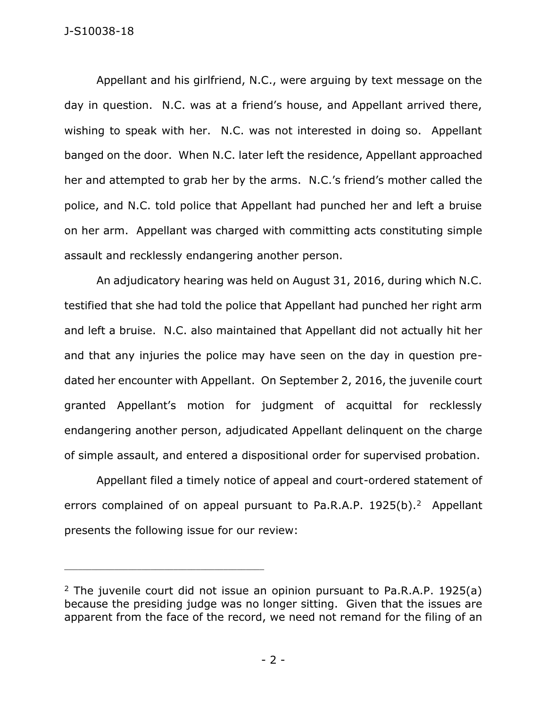Appellant and his girlfriend, N.C., were arguing by text message on the day in question. N.C. was at a friend's house, and Appellant arrived there, wishing to speak with her. N.C. was not interested in doing so. Appellant banged on the door. When N.C. later left the residence, Appellant approached her and attempted to grab her by the arms. N.C.'s friend's mother called the police, and N.C. told police that Appellant had punched her and left a bruise on her arm. Appellant was charged with committing acts constituting simple assault and recklessly endangering another person.

An adjudicatory hearing was held on August 31, 2016, during which N.C. testified that she had told the police that Appellant had punched her right arm and left a bruise. N.C. also maintained that Appellant did not actually hit her and that any injuries the police may have seen on the day in question predated her encounter with Appellant. On September 2, 2016, the juvenile court granted Appellant's motion for judgment of acquittal for recklessly endangering another person, adjudicated Appellant delinquent on the charge of simple assault, and entered a dispositional order for supervised probation.

Appellant filed a timely notice of appeal and court-ordered statement of errors complained of on appeal pursuant to Pa.R.A.P.  $1925(b)$ .<sup>2</sup> Appellant presents the following issue for our review:

\_\_\_\_\_\_\_\_\_\_\_\_\_\_\_\_\_\_\_\_\_\_\_\_\_\_\_\_\_\_\_\_\_\_\_\_\_\_\_\_\_\_\_\_

<sup>&</sup>lt;sup>2</sup> The juvenile court did not issue an opinion pursuant to Pa.R.A.P. 1925(a) because the presiding judge was no longer sitting. Given that the issues are apparent from the face of the record, we need not remand for the filing of an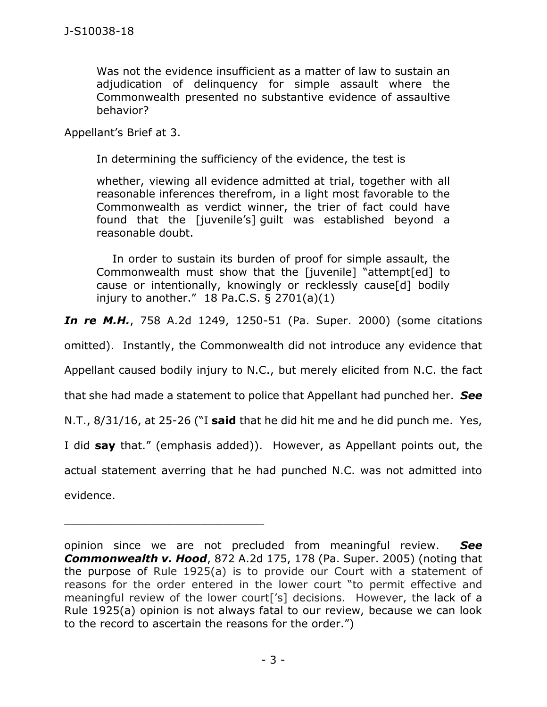Was not the evidence insufficient as a matter of law to sustain an adjudication of delinquency for simple assault where the Commonwealth presented no substantive evidence of assaultive behavior?

Appellant's Brief at 3.

In determining the sufficiency of the evidence, the test is

whether, viewing all evidence admitted at trial, together with all reasonable inferences therefrom, in a light most favorable to the Commonwealth as verdict winner, the trier of fact could have found that the [juvenile's] guilt was established beyond a reasonable doubt.

In order to sustain its burden of proof for simple assault, the Commonwealth must show that the [juvenile] "attempt[ed] to cause or intentionally, knowingly or recklessly cause[d] bodily injury to another."  $18$  Pa.C.S. § 2701(a)(1)

*In re M.H.*, 758 A.2d 1249, 1250-51 (Pa. Super. 2000) (some citations

omitted). Instantly, the Commonwealth did not introduce any evidence that

Appellant caused bodily injury to N.C., but merely elicited from N.C. the fact

that she had made a statement to police that Appellant had punched her. *See*

N.T., 8/31/16, at 25-26 ("I **said** that he did hit me and he did punch me. Yes,

I did **say** that." (emphasis added)). However, as Appellant points out, the

actual statement averring that he had punched N.C. was not admitted into evidence.

opinion since we are not precluded from meaningful review. *See Commonwealth v. Hood*, 872 A.2d 175, 178 (Pa. Super. 2005) (noting that the purpose of Rule 1925(a) is to provide our Court with a statement of reasons for the order entered in the lower court "to permit effective and meaningful review of the lower court['s] decisions. However, the lack of a Rule 1925(a) opinion is not always fatal to our review, because we can look to the record to ascertain the reasons for the order.")